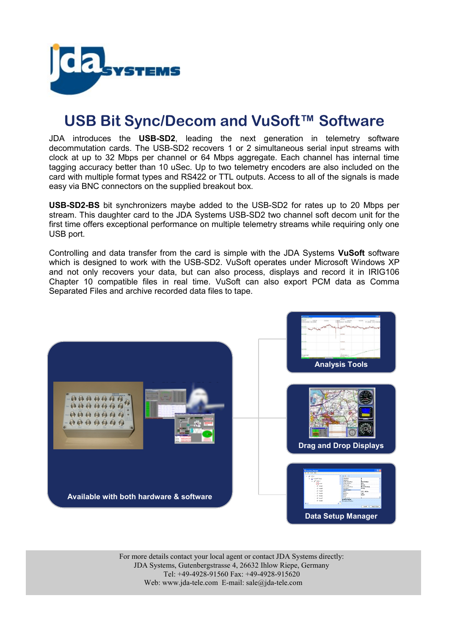

## **USB Bit Sync/Decom and VuSoft™ Software**

JDA introduces the **USB-SD2**, leading the next generation in telemetry software decommutation cards. The USB-SD2 recovers 1 or 2 simultaneous serial input streams with clock at up to 32 Mbps per channel or 64 Mbps aggregate. Each channel has internal time tagging accuracy better than 10 uSec. Up to two telemetry encoders are also included on the card with multiple format types and RS422 or TTL outputs. Access to all of the signals is made easy via BNC connectors on the supplied breakout box.

**USB-SD2-BS** bit synchronizers maybe added to the USB-SD2 for rates up to 20 Mbps per stream. This daughter card to the JDA Systems USB-SD2 two channel soft decom unit for the first time offers exceptional performance on multiple telemetry streams while requiring only one USB port.

Controlling and data transfer from the card is simple with the JDA Systems **VuSoft** software which is designed to work with the USB-SD2. VuSoft operates under Microsoft Windows XP and not only recovers your data, but can also process, displays and record it in IRIG106 Chapter 10 compatible files in real time. VuSoft can also export PCM data as Comma Separated Files and archive recorded data files to tape.



For more details contact your local agent or contact JDA Systems directly: JDA Systems, Gutenbergstrasse 4, 26632 Ihlow Riepe, Germany Tel: +49-4928-91560 Fax: +49-4928-915620 Web: www.jda-tele.com E-mail: sale@jda-tele.com